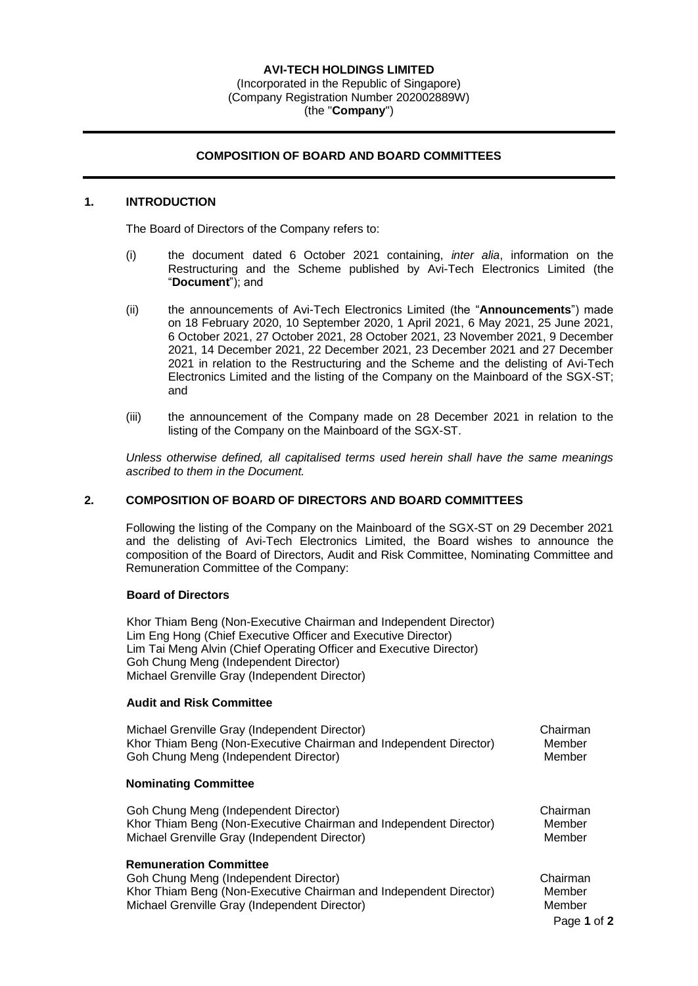#### **AVI-TECH HOLDINGS LIMITED** (Incorporated in the Republic of Singapore) (Company Registration Number 202002889W) (the "**Company**")

## **COMPOSITION OF BOARD AND BOARD COMMITTEES**

### **1. INTRODUCTION**

The Board of Directors of the Company refers to:

- (i) the document dated 6 October 2021 containing, *inter alia*, information on the Restructuring and the Scheme published by Avi-Tech Electronics Limited (the "**Document**"); and
- (ii) the announcements of Avi-Tech Electronics Limited (the "**Announcements**") made on 18 February 2020, 10 September 2020, 1 April 2021, 6 May 2021, 25 June 2021, 6 October 2021, 27 October 2021, 28 October 2021, 23 November 2021, 9 December 2021, 14 December 2021, 22 December 2021, 23 December 2021 and 27 December 2021 in relation to the Restructuring and the Scheme and the delisting of Avi-Tech Electronics Limited and the listing of the Company on the Mainboard of the SGX-ST; and
- (iii) the announcement of the Company made on 28 December 2021 in relation to the listing of the Company on the Mainboard of the SGX-ST.

*Unless otherwise defined, all capitalised terms used herein shall have the same meanings ascribed to them in the Document.*

#### **2. COMPOSITION OF BOARD OF DIRECTORS AND BOARD COMMITTEES**

Following the listing of the Company on the Mainboard of the SGX-ST on 29 December 2021 and the delisting of Avi-Tech Electronics Limited, the Board wishes to announce the composition of the Board of Directors, Audit and Risk Committee, Nominating Committee and Remuneration Committee of the Company:

#### **Board of Directors**

Khor Thiam Beng (Non-Executive Chairman and Independent Director) Lim Eng Hong (Chief Executive Officer and Executive Director) Lim Tai Meng Alvin (Chief Operating Officer and Executive Director) Goh Chung Meng (Independent Director) Michael Grenville Gray (Independent Director)

#### **Audit and Risk Committee**

Michael Grenville Gray (Independent Director) and the chairman Chairman Khor Thiam Beng (Non-Executive Chairman and Independent Director) Member Goh Chung Meng (Independent Director) and the control of the Member

#### **Nominating Committee**

Goh Chung Meng (Independent Director) Chairman Chairman Khor Thiam Beng (Non-Executive Chairman and Independent Director) Member Michael Grenville Gray (Independent Director) Member

#### **Remuneration Committee**

Goh Chung Meng (Independent Director) Chairman Chairman Khor Thiam Beng (Non-Executive Chairman and Independent Director) Member Michael Grenville Gray (Independent Director) Member

Page **1** of **2**